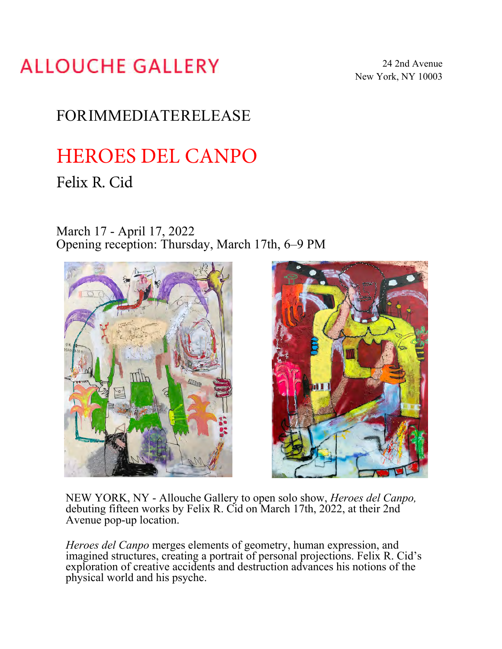## **ALLOUCHE GALLERY**

24 2nd Avenue New York, NY 10003

## FORIMMEDIATERELEASE

# HEROES DEL CANPO

### Felix R. Cid

### March 17 - April 17, 2022 Opening reception: Thursday, March 17th, 6–9 PM





NEW YORK, NY - Allouche Gallery to open solo show, *Heroes del Canpo,* debuting fifteen works by Felix R. Cid on March 17th, 2022, at their 2nd Avenue pop-up location.

*Heroes del Canpo* merges elements of geometry, human expression, and imagined structures, creating a portrait of personal projections. Felix R. Cid's exploration of creative accidents and destruction advances his notions of the physical world and his psyche.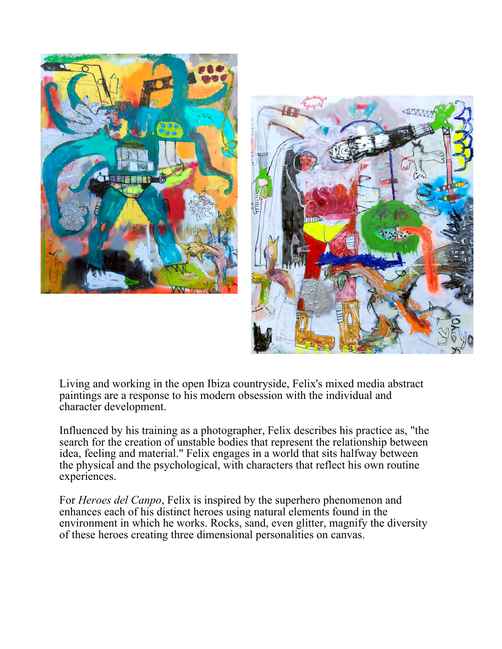



Living and working in the open Ibiza countryside, Felix's mixed media abstract paintings are a response to his modern obsession with the individual and character development.

Influenced by his training as a photographer, Felix describes his practice as, "the search for the creation of unstable bodies that represent the relationship between idea, feeling and material." Felix engages in a world that sits halfway between the physical and the psychological, with characters that reflect his own routine experiences.

For *Heroes del Canpo*, Felix is inspired by the superhero phenomenon and enhances each of his distinct heroes using natural elements found in the environment in which he works. Rocks, sand, even glitter, magnify the diversity of these heroes creating three dimensional personalities on canvas.